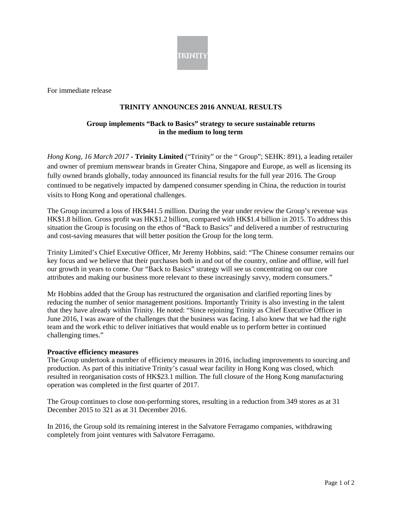

For immediate release

# **TRINITY ANNOUNCES 2016 ANNUAL RESULTS**

# **Group implements "Back to Basics" strategy to secure sustainable returns in the medium to long term**

*Hong Kong, 16 March 2017* **- Trinity Limited** ("Trinity" or the " Group"; SEHK: 891), a leading retailer and owner of premium menswear brands in Greater China, Singapore and Europe, as well as licensing its fully owned brands globally, today announced its financial results for the full year 2016. The Group continued to be negatively impacted by dampened consumer spending in China, the reduction in tourist visits to Hong Kong and operational challenges.

The Group incurred a loss of HK\$441.5 million. During the year under review the Group's revenue was HK\$1.8 billion. Gross profit was HK\$1.2 billion, compared with HK\$1.4 billion in 2015. To address this situation the Group is focusing on the ethos of "Back to Basics" and delivered a number of restructuring and cost-saving measures that will better position the Group for the long term.

Trinity Limited's Chief Executive Officer, Mr Jeremy Hobbins, said: "The Chinese consumer remains our key focus and we believe that their purchases both in and out of the country, online and offline, will fuel our growth in years to come. Our "Back to Basics" strategy will see us concentrating on our core attributes and making our business more relevant to these increasingly savvy, modern consumers."

Mr Hobbins added that the Group has restructured the organisation and clarified reporting lines by reducing the number of senior management positions. Importantly Trinity is also investing in the talent that they have already within Trinity. He noted: "Since rejoining Trinity as Chief Executive Officer in June 2016, I was aware of the challenges that the business was facing. I also knew that we had the right team and the work ethic to deliver initiatives that would enable us to perform better in continued challenging times."

#### **Proactive efficiency measures**

The Group undertook a number of efficiency measures in 2016, including improvements to sourcing and production. As part of this initiative Trinity's casual wear facility in Hong Kong was closed, which resulted in reorganisation costs of HK\$23.1 million. The full closure of the Hong Kong manufacturing operation was completed in the first quarter of 2017.

The Group continues to close non-performing stores, resulting in a reduction from 349 stores as at 31 December 2015 to 321 as at 31 December 2016.

In 2016, the Group sold its remaining interest in the Salvatore Ferragamo companies, withdrawing completely from joint ventures with Salvatore Ferragamo.